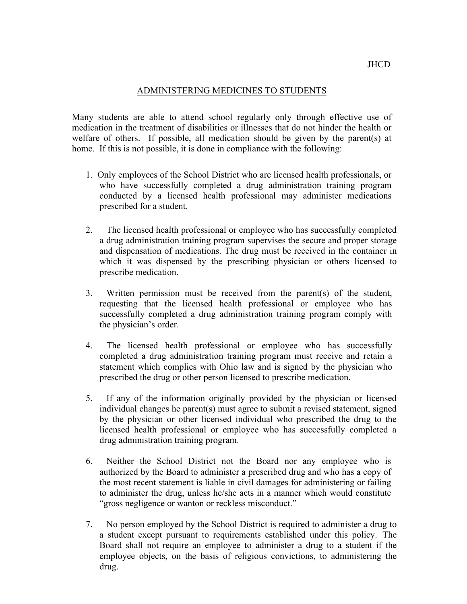## ADMINISTERING MEDICINES TO STUDENTS

 Many students are able to attend school regularly only through effective use of medication in the treatment of disabilities or illnesses that do not hinder the health or welfare of others. If possible, all medication should be given by the parent(s) at home. If this is not possible, it is done in compliance with the following:

- 1. Only employees of the School District who are licensed health professionals, or prescribed for a student. who have successfully completed a drug administration training program conducted by a licensed health professional may administer medications
- a drug administration training program supervises the secure and proper storage and dispensation of medications. The drug must be received in the container in which it was dispensed by the prescribing physician or others licensed to prescribe medication. 2. The licensed health professional or employee who has successfully completed
- 3. Written permission must be received from the parent(s) of the student, successfully completed a drug administration training program comply with the physician's order. requesting that the licensed health professional or employee who has
- completed a drug administration training program must receive and retain a statement which complies with Ohio law and is signed by the physician who prescribed the drug or other person licensed to prescribe medication. 4. The licensed health professional or employee who has successfully
- 5. If any of the information originally provided by the physician or licensed individual changes he parent(s) must agree to submit a revised statement, signed by the physician or other licensed individual who prescribed the drug to the licensed health professional or employee who has successfully completed a drug administration training program.
- 6. Neither the School District not the Board nor any employee who is authorized by the Board to administer a prescribed drug and who has a copy of the most recent statement is liable in civil damages for administering or failing to administer the drug, unless he/she acts in a manner which would constitute "gross negligence or wanton or reckless misconduct."
- 7. No person employed by the School District is required to administer a drug to a student except pursuant to requirements established under this policy. The Board shall not require an employee to administer a drug to a student if the employee objects, on the basis of religious convictions, to administering the drug.